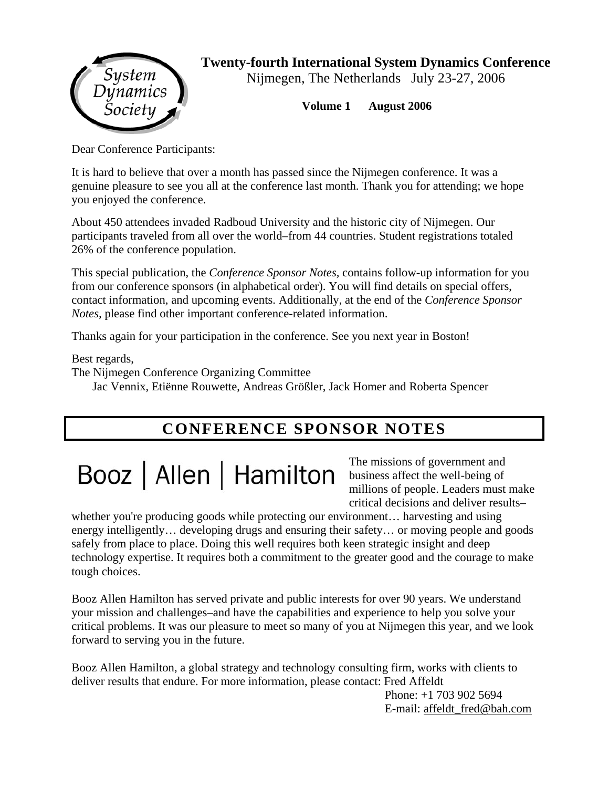

**Twenty-fourth International System Dynamics Conference** 

Nijmegen, The Netherlands July 23-27, 2006

**Volume 1 August 2006** 

Dear Conference Participants:

It is hard to believe that over a month has passed since the Nijmegen conference. It was a genuine pleasure to see you all at the conference last month. Thank you for attending; we hope you enjoyed the conference.

About 450 attendees invaded Radboud University and the historic city of Nijmegen. Our participants traveled from all over the world–from 44 countries. Student registrations totaled 26% of the conference population.

This special publication, the *Conference Sponsor Notes,* contains follow-up information for you from our conference sponsors (in alphabetical order). You will find details on special offers, contact information, and upcoming events. Additionally, at the end of the *Conference Sponsor Notes,* please find other important conference-related information.

Thanks again for your participation in the conference. See you next year in Boston!

Best regards,

The Nijmegen Conference Organizing Committee

Jac Vennix, Etiënne Rouwette, Andreas Größler, Jack Homer and Roberta Spencer

## **CONFERENCE SPONSOR NOTES**

# Booz | Allen | Hamilton

The missions of government and business affect the well-being of millions of people. Leaders must make critical decisions and deliver results–

whether you're producing goods while protecting our environment... harvesting and using energy intelligently… developing drugs and ensuring their safety… or moving people and goods safely from place to place. Doing this well requires both keen strategic insight and deep technology expertise. It requires both a commitment to the greater good and the courage to make tough choices.

Booz Allen Hamilton has served private and public interests for over 90 years. We understand your mission and challenges–and have the capabilities and experience to help you solve your critical problems. It was our pleasure to meet so many of you at Nijmegen this year, and we look forward to serving you in the future.

Booz Allen Hamilton, a global strategy and technology consulting firm, works with clients to deliver results that endure. For more information, please contact: Fred Affeldt

Phone: +1 703 902 5694 E-mail: affeldt\_fred@bah.com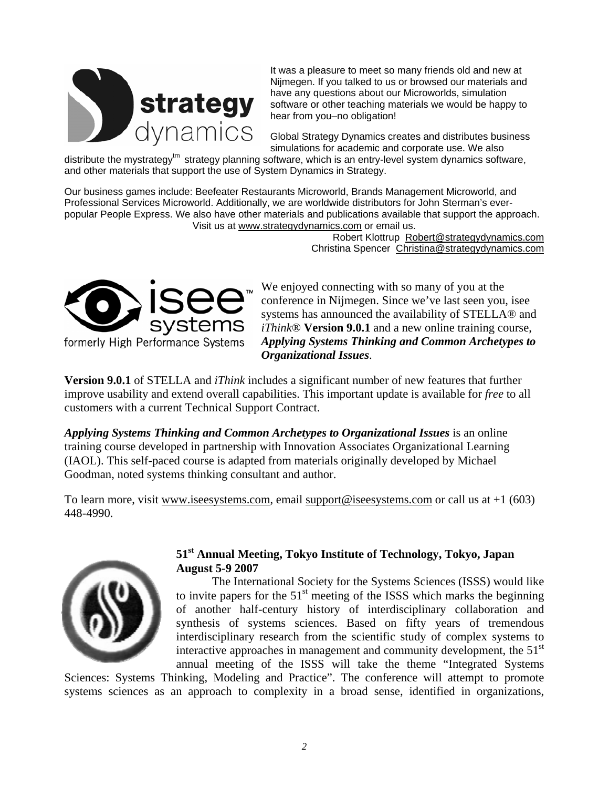

It was a pleasure to meet so many friends old and new at Nijmegen. If you talked to us or browsed our materials and have any questions about our Microworlds, simulation software or other teaching materials we would be happy to hear from you–no obligation!

Global Strategy Dynamics creates and distributes business simulations for academic and corporate use. We also

distribute the mystrategy<sup>tm</sup> strategy planning software, which is an entry-level system dynamics software, and other materials that support the use of System Dynamics in Strategy.

Our business games include: Beefeater Restaurants Microworld, Brands Management Microworld, and Professional Services Microworld. Additionally, we are worldwide distributors for John Sterman's everpopular People Express. We also have other materials and publications available that support the approach. Visit us at www.strategydynamics.com or email us.

> Robert Klottrup Robert@strategydynamics.com Christina Spencer Christina@strategydynamics.com



We enjoyed connecting with so many of you at the conference in Nijmegen. Since we've last seen you, isee systems has announced the availability of STELLA® and *iThink*® **Version 9.0.1** and a new online training course, *Applying Systems Thinking and Common Archetypes to Organizational Issues*.

**Version 9.0.1** of STELLA and *iThink* includes a significant number of new features that further improve usability and extend overall capabilities. This important update is available for *free* to all customers with a current Technical Support Contract.

*Applying Systems Thinking and Common Archetypes to Organizational Issues* is an online training course developed in partnership with Innovation Associates Organizational Learning (IAOL). This self-paced course is adapted from materials originally developed by Michael Goodman, noted systems thinking consultant and author.

To learn more, visit www.iseesystems.com, email support@iseesystems.com or call us at +1 (603) 448-4990.



#### **51st Annual Meeting, Tokyo Institute of Technology, Tokyo, Japan August 5-9 2007**

The International Society for the Systems Sciences (ISSS) would like to invite papers for the  $51<sup>st</sup>$  meeting of the ISSS which marks the beginning of another half-century history of interdisciplinary collaboration and synthesis of systems sciences. Based on fifty years of tremendous interdisciplinary research from the scientific study of complex systems to interactive approaches in management and community development, the  $51<sup>st</sup>$ annual meeting of the ISSS will take the theme "Integrated Systems

Sciences: Systems Thinking, Modeling and Practice". The conference will attempt to promote systems sciences as an approach to complexity in a broad sense, identified in organizations,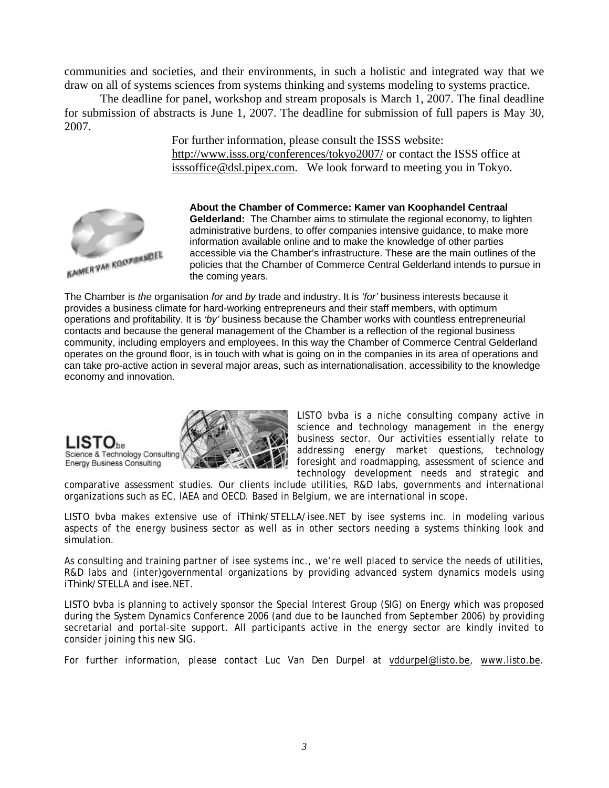communities and societies, and their environments, in such a holistic and integrated way that we draw on all of systems sciences from systems thinking and systems modeling to systems practice.

The deadline for panel, workshop and stream proposals is March 1, 2007. The final deadline for submission of abstracts is June 1, 2007. The deadline for submission of full papers is May 30, 2007.

> For further information, please consult the ISSS website: http://www.isss.org/conferences/tokyo2007/ or contact the ISSS office at isssoffice@dsl.pipex.com. We look forward to meeting you in Tokyo.



**About the Chamber of Commerce: Kamer van Koophandel Centraal Gelderland:** The Chamber aims to stimulate the regional economy, to lighten administrative burdens, to offer companies intensive guidance, to make more information available online and to make the knowledge of other parties accessible via the Chamber's infrastructure. These are the main outlines of the policies that the Chamber of Commerce Central Gelderland intends to pursue in the coming years.

The Chamber is *the* organisation *for* and *by* trade and industry. It is *'for'* business interests because it provides a business climate for hard-working entrepreneurs and their staff members, with optimum operations and profitability. It is *'by'* business because the Chamber works with countless entrepreneurial contacts and because the general management of the Chamber is a reflection of the regional business community, including employers and employees. In this way the Chamber of Commerce Central Gelderland operates on the ground floor, is in touch with what is going on in the companies in its area of operations and can take pro-active action in several major areas, such as internationalisation, accessibility to the knowledge economy and innovation.



LISTO bvba is a niche consulting company active in science and technology management in the energy business sector. Our activities essentially relate to addressing energy market questions, technology foresight and roadmapping, assessment of science and technology development needs and strategic and

comparative assessment studies. Our clients include utilities, R&D labs, governments and international organizations such as EC, IAEA and OECD. Based in Belgium, we are international in scope.

LISTO bvba makes extensive use of *iThink*/STELLA/isee.NET by isee systems inc. in modeling various aspects of the energy business sector as well as in other sectors needing a systems thinking look and simulation.

As consulting and training partner of isee systems inc., we're well placed to service the needs of utilities, R&D labs and (inter)governmental organizations by providing advanced system dynamics models using *iThink*/STELLA and isee.NET.

LISTO bvba is planning to actively sponsor the Special Interest Group (SIG) on Energy which was proposed during the System Dynamics Conference 2006 (and due to be launched from September 2006) by providing secretarial and portal-site support. All participants active in the energy sector are kindly invited to consider joining this new SIG.

For further information, please contact Luc Van Den Durpel at vddurpel@listo.be, www.listo.be.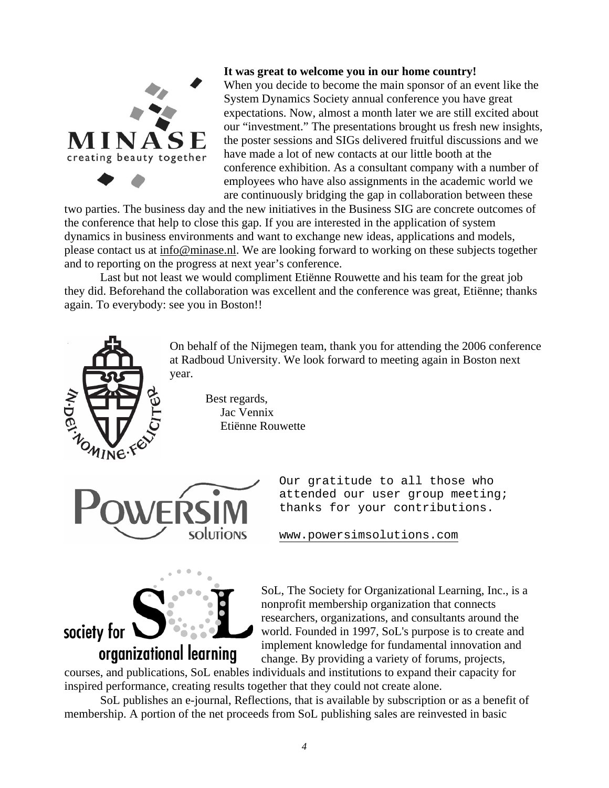

**It was great to welcome you in our home country!** 

When you decide to become the main sponsor of an event like the System Dynamics Society annual conference you have great expectations. Now, almost a month later we are still excited about our "investment." The presentations brought us fresh new insights, the poster sessions and SIGs delivered fruitful discussions and we have made a lot of new contacts at our little booth at the conference exhibition. As a consultant company with a number of employees who have also assignments in the academic world we are continuously bridging the gap in collaboration between these

two parties. The business day and the new initiatives in the Business SIG are concrete outcomes of the conference that help to close this gap. If you are interested in the application of system dynamics in business environments and want to exchange new ideas, applications and models, please contact us at info@minase.nl. We are looking forward to working on these subjects together and to reporting on the progress at next year's conference.

Last but not least we would compliment Etiënne Rouwette and his team for the great job they did. Beforehand the collaboration was excellent and the conference was great, Etiënne; thanks again. To everybody: see you in Boston!!

> On behalf of the Nijmegen team, thank you for attending the 2006 conference at Radboud University. We look forward to meeting again in Boston next year.

> > Best regards, Jac Vennix Etiënne Rouwette



Our gratitude to all those who attended our user group meeting; thanks for your contributions.

www.powersimsolutions.com



SoL, The Society for Organizational Learning, Inc., is a nonprofit membership organization that connects researchers, organizations, and consultants around the world. Founded in 1997, SoL's purpose is to create and implement knowledge for fundamental innovation and change. By providing a variety of forums, projects,

courses, and publications, SoL enables individuals and institutions to expand their capacity for inspired performance, creating results together that they could not create alone.

SoL publishes an e-journal, Reflections, that is available by subscription or as a benefit of membership. A portion of the net proceeds from SoL publishing sales are reinvested in basic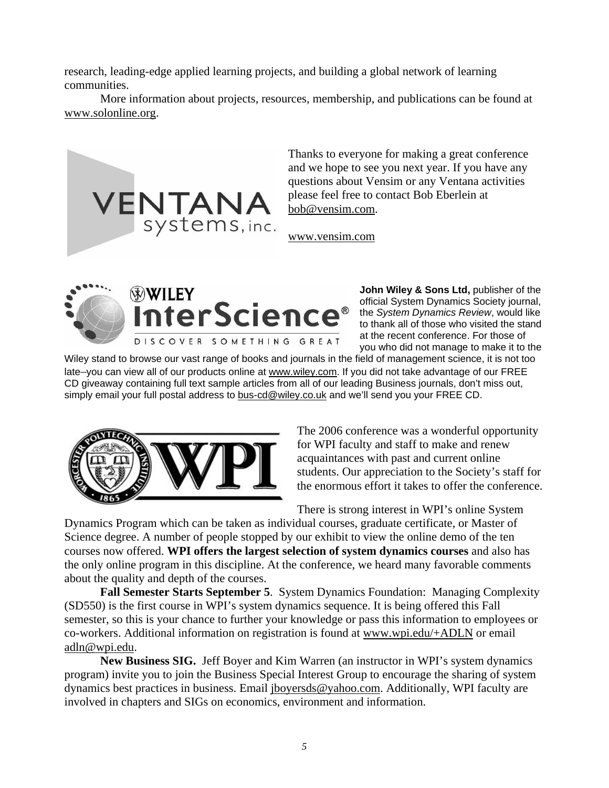research, leading-edge applied learning projects, and building a global network of learning communities.

More information about projects, resources, membership, and publications can be found at www.solonline.org.



Thanks to everyone for making a great conference and we hope to see you next year. If you have any questions about Vensim or any Ventana activities please feel free to contact Bob Eberlein at bob@vensim.com.

www.vensim.com





**John Wiley & Sons Ltd,** publisher of the official System Dynamics Society journal, the *System Dynamics Review*, would like to thank all of those who visited the stand at the recent conference. For those of you who did not manage to make it to the

Wiley stand to browse our vast range of books and journals in the field of management science, it is not too late-you can view all of our products online at www.wiley.com. If you did not take advantage of our FREE CD giveaway containing full text sample articles from all of our leading Business journals, don't miss out, simply email your full postal address to bus-cd@wiley.co.uk and we'll send you your FREE CD.



The 2006 conference was a wonderful opportunity for WPI faculty and staff to make and renew acquaintances with past and current online students. Our appreciation to the Society's staff for the enormous effort it takes to offer the conference.

There is strong interest in WPI's online System

Dynamics Program which can be taken as individual courses, graduate certificate, or Master of Science degree. A number of people stopped by our exhibit to view the online demo of the ten courses now offered. **WPI offers the largest selection of system dynamics courses** and also has the only online program in this discipline. At the conference, we heard many favorable comments about the quality and depth of the courses.

**Fall Semester Starts September 5**. System Dynamics Foundation: Managing Complexity (SD550) is the first course in WPI's system dynamics sequence. It is being offered this Fall semester, so this is your chance to further your knowledge or pass this information to employees or co-workers. Additional information on registration is found at www.wpi.edu/+ADLN or email adln@wpi.edu.

**New Business SIG.** Jeff Boyer and Kim Warren (an instructor in WPI's system dynamics program) invite you to join the Business Special Interest Group to encourage the sharing of system dynamics best practices in business. Email jboyersds@yahoo.com. Additionally, WPI faculty are involved in chapters and SIGs on economics, environment and information.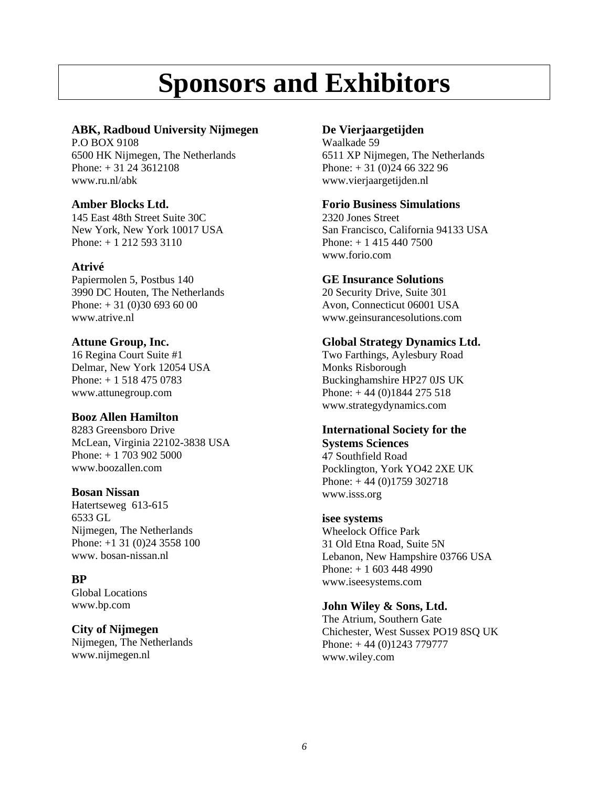# **Sponsors and Exhibitors**

#### **ABK, Radboud University Nijmegen**

P.O BOX 9108 6500 HK Nijmegen, The Netherlands Phone: + 31 24 3612108 www.ru.nl/abk

#### **Amber Blocks Ltd.**

145 East 48th Street Suite 30C New York, New York 10017 USA Phone: + 1 212 593 3110

#### **Atrivé**

Papiermolen 5, Postbus 140 3990 DC Houten, The Netherlands Phone:  $+31(0)306936000$ www.atrive.nl

#### **Attune Group, Inc.**

16 Regina Court Suite #1 Delmar, New York 12054 USA Phone: + 1 518 475 0783 www.attunegroup.com

#### **Booz Allen Hamilton**

8283 Greensboro Drive McLean, Virginia 22102-3838 USA Phone: + 1 703 902 5000 www.boozallen.com

#### **Bosan Nissan**

Hatertseweg 613-615 6533 GL Nijmegen, The Netherlands Phone: +1 31 (0)24 3558 100 www. bosan-nissan.nl

#### **BP**

Global Locations www.bp.com

#### **City of Nijmegen**

Nijmegen, The Netherlands www.nijmegen.nl

#### **De Vierjaargetijden**

Waalkade 59 6511 XP Nijmegen, The Netherlands Phone: + 31 (0)24 66 322 96 www.vierjaargetijden.nl

#### **Forio Business Simulations**

2320 Jones Street San Francisco, California 94133 USA Phone: + 1 415 440 7500 www.forio.com

#### **GE Insurance Solutions**

20 Security Drive, Suite 301 Avon, Connecticut 06001 USA www.geinsurancesolutions.com

#### **Global Strategy Dynamics Ltd.**

Two Farthings, Aylesbury Road Monks Risborough Buckinghamshire HP27 0JS UK Phone: + 44 (0)1844 275 518 www.strategydynamics.com

#### **International Society for the Systems Sciences**

47 Southfield Road Pocklington, York YO42 2XE UK Phone: + 44 (0)1759 302718 www.isss.org

#### **isee systems**

Wheelock Office Park 31 Old Etna Road, Suite 5N Lebanon, New Hampshire 03766 USA Phone: + 1 603 448 4990 www.iseesystems.com

#### **John Wiley & Sons, Ltd.**

The Atrium, Southern Gate Chichester, West Sussex PO19 8SQ UK Phone: + 44 (0)1243 779777 www.wiley.com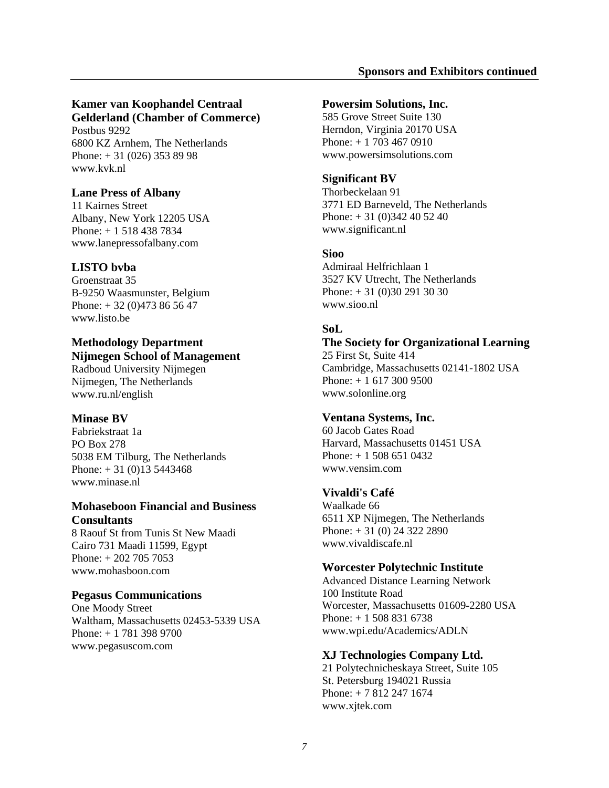#### **Kamer van Koophandel Centraal Gelderland (Chamber of Commerce)**

Postbus 9292 6800 KZ Arnhem, The Netherlands Phone: + 31 (026) 353 89 98 www.kvk.nl

#### **Lane Press of Albany**

11 Kairnes Street Albany, New York 12205 USA Phone: + 1 518 438 7834 www.lanepressofalbany.com

#### **LISTO bvba**

Groenstraat 35 B-9250 Waasmunster, Belgium Phone: + 32 (0)473 86 56 47 www.listo.be

#### **Methodology Department Nijmegen School of Management**

Radboud University Nijmegen Nijmegen, The Netherlands www.ru.nl/english

#### **Minase BV**

Fabriekstraat 1a PO Box 278 5038 EM Tilburg, The Netherlands Phone:  $+31(0)135443468$ www.minase.nl

#### **Mohaseboon Financial and Business Consultants**

8 Raouf St from Tunis St New Maadi Cairo 731 Maadi 11599, Egypt Phone: + 202 705 7053 www.mohasboon.com

#### **Pegasus Communications**

One Moody Street Waltham, Massachusetts 02453-5339 USA Phone: + 1 781 398 9700 www.pegasuscom.com

#### **Powersim Solutions, Inc.**

585 Grove Street Suite 130 Herndon, Virginia 20170 USA Phone: + 1 703 467 0910 www.powersimsolutions.com

#### **Significant BV**

Thorbeckelaan 91 3771 ED Barneveld, The Netherlands Phone: + 31 (0)342 40 52 40 www.significant.nl

#### **Sioo**

Admiraal Helfrichlaan 1 3527 KV Utrecht, The Netherlands Phone: + 31 (0)30 291 30 30 www.sioo.nl

#### **SoL**

**The Society for Organizational Learning**  25 First St, Suite 414 Cambridge, Massachusetts 02141-1802 USA Phone: + 1 617 300 9500 www.solonline.org

#### **Ventana Systems, Inc.**

60 Jacob Gates Road Harvard, Massachusetts 01451 USA Phone: + 1 508 651 0432 www.vensim.com

#### **Vivaldi's Café**

Waalkade 66 6511 XP Nijmegen, The Netherlands Phone: + 31 (0) 24 322 2890 www.vivaldiscafe.nl

#### **Worcester Polytechnic Institute**

Advanced Distance Learning Network 100 Institute Road Worcester, Massachusetts 01609-2280 USA Phone: + 1 508 831 6738 www.wpi.edu/Academics/ADLN

#### **XJ Technologies Company Ltd.**

21 Polytechnicheskaya Street, Suite 105 St. Petersburg 194021 Russia Phone: + 7 812 247 1674 www.xjtek.com